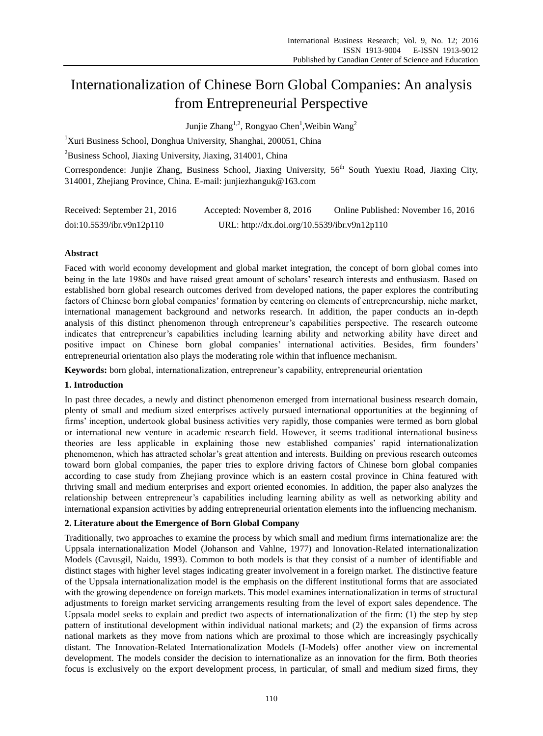# Internationalization of Chinese Born Global Companies: An analysis from Entrepreneurial Perspective

Junjie Zhang<sup>1,2</sup>, Rongyao Chen<sup>1</sup>, Weibin Wang<sup>2</sup>

<sup>1</sup>Xuri Business School, Donghua University, Shanghai, 200051, China

 $2$ Business School, Jiaxing University, Jiaxing, 314001, China

Correspondence: Junjie Zhang, Business School, Jiaxing University, 56<sup>th</sup> South Yuexiu Road, Jiaxing City, 314001, Zhejiang Province, China. E-mail: junjiezhanguk@163.com

| Received: September 21, 2016 | Accepted: November 8, 2016                   | Online Published: November 16, 2016 |
|------------------------------|----------------------------------------------|-------------------------------------|
| doi:10.5539/ibr.v9n12p110    | URL: http://dx.doi.org/10.5539/ibr.v9n12p110 |                                     |

# **Abstract**

Faced with world economy development and global market integration, the concept of born global comes into being in the late 1980s and have raised great amount of scholars' research interests and enthusiasm. Based on established born global research outcomes derived from developed nations, the paper explores the contributing factors of Chinese born global companies' formation by centering on elements of entrepreneurship, niche market, international management background and networks research. In addition, the paper conducts an in-depth analysis of this distinct phenomenon through entrepreneur's capabilities perspective. The research outcome indicates that entrepreneur's capabilities including learning ability and networking ability have direct and positive impact on Chinese born global companies' international activities. Besides, firm founders' entrepreneurial orientation also plays the moderating role within that influence mechanism.

**Keywords:** born global, internationalization, entrepreneur's capability, entrepreneurial orientation

## **1. Introduction**

In past three decades, a newly and distinct phenomenon emerged from international business research domain, plenty of small and medium sized enterprises actively pursued international opportunities at the beginning of firms' inception, undertook global business activities very rapidly, those companies were termed as born global or international new venture in academic research field. However, it seems traditional international business theories are less applicable in explaining those new established companies' rapid internationalization phenomenon, which has attracted scholar's great attention and interests. Building on previous research outcomes toward born global companies, the paper tries to explore driving factors of Chinese born global companies according to case study from Zhejiang province which is an eastern costal province in China featured with thriving small and medium enterprises and export oriented economies. In addition, the paper also analyzes the relationship between entrepreneur's capabilities including learning ability as well as networking ability and international expansion activities by adding entrepreneurial orientation elements into the influencing mechanism.

## **2. Literature about the Emergence of Born Global Company**

Traditionally, two approaches to examine the process by which small and medium firms internationalize are: the Uppsala internationalization Model (Johanson and Vahlne, 1977) and Innovation-Related internationalization Models (Cavusgil, Naidu, 1993). Common to both models is that they consist of a number of identifiable and distinct stages with higher level stages indicating greater involvement in a foreign market. The distinctive feature of the Uppsala internationalization model is the emphasis on the different institutional forms that are associated with the growing dependence on foreign markets. This model examines internationalization in terms of structural adjustments to foreign market servicing arrangements resulting from the level of export sales dependence. The Uppsala model seeks to explain and predict two aspects of internationalization of the firm: (1) the step by step pattern of institutional development within individual national markets; and (2) the expansion of firms across national markets as they move from nations which are proximal to those which are increasingly psychically distant. The Innovation-Related Internationalization Models (I-Models) offer another view on incremental development. The models consider the decision to internationalize as an innovation for the firm. Both theories focus is exclusively on the export development process, in particular, of small and medium sized firms, they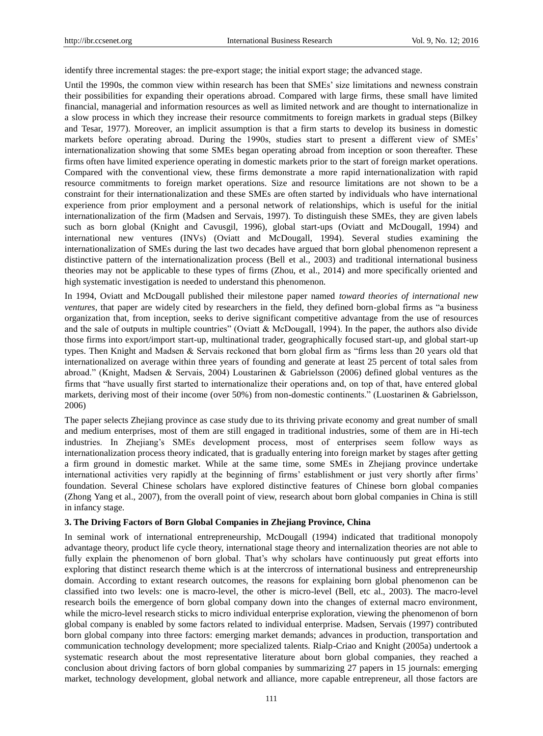identify three incremental stages: the pre-export stage; the initial export stage; the advanced stage.

Until the 1990s, the common view within research has been that SMEs' size limitations and newness constrain their possibilities for expanding their operations abroad. Compared with large firms, these small have limited financial, managerial and information resources as well as limited network and are thought to internationalize in a slow process in which they increase their resource commitments to foreign markets in gradual steps (Bilkey and Tesar, 1977). Moreover, an implicit assumption is that a firm starts to develop its business in domestic markets before operating abroad. During the 1990s, studies start to present a different view of SMEs' internationalization showing that some SMEs began operating abroad from inception or soon thereafter. These firms often have limited experience operating in domestic markets prior to the start of foreign market operations. Compared with the conventional view, these firms demonstrate a more rapid internationalization with rapid resource commitments to foreign market operations. Size and resource limitations are not shown to be a constraint for their internationalization and these SMEs are often started by individuals who have international experience from prior employment and a personal network of relationships, which is useful for the initial internationalization of the firm (Madsen and Servais, 1997). To distinguish these SMEs, they are given labels such as born global (Knight and Cavusgil, 1996), global start-ups (Oviatt and McDougall, 1994) and international new ventures (INVs) (Oviatt and McDougall, 1994). Several studies examining the internationalization of SMEs during the last two decades have argued that born global phenomenon represent a distinctive pattern of the internationalization process (Bell et al., 2003) and traditional international business theories may not be applicable to these types of firms (Zhou, et al., 2014) and more specifically oriented and high systematic investigation is needed to understand this phenomenon.

In 1994, Oviatt and McDougall published their milestone paper named *toward theories of international new ventures*, that paper are widely cited by researchers in the field, they defined born-global firms as "a business organization that, from inception, seeks to derive significant competitive advantage from the use of resources and the sale of outputs in multiple countries" (Oviatt & McDougall, 1994). In the paper, the authors also divide those firms into export/import start-up, multinational trader, geographically focused start-up, and global start-up types. Then Knight and Madsen & Servais reckoned that born global firm as "firms less than 20 years old that internationalized on average within three years of founding and generate at least 25 percent of total sales from abroad.‖ (Knight, Madsen & Servais, 2004) Loustarinen & Gabrielsson (2006) defined global ventures as the firms that "have usually first started to internationalize their operations and, on top of that, have entered global markets, deriving most of their income (over 50%) from non-domestic continents." (Luostarinen & Gabrielsson, 2006)

The paper selects Zhejiang province as case study due to its thriving private economy and great number of small and medium enterprises, most of them are still engaged in traditional industries, some of them are in Hi-tech industries. In Zhejiang's SMEs development process, most of enterprises seem follow ways as internationalization process theory indicated, that is gradually entering into foreign market by stages after getting a firm ground in domestic market. While at the same time, some SMEs in Zhejiang province undertake international activities very rapidly at the beginning of firms' establishment or just very shortly after firms' foundation. Several Chinese scholars have explored distinctive features of Chinese born global companies (Zhong Yang et al., 2007), from the overall point of view, research about born global companies in China is still in infancy stage.

## **3. The Driving Factors of Born Global Companies in Zhejiang Province, China**

In seminal work of international entrepreneurship, McDougall (1994) indicated that traditional monopoly advantage theory, product life cycle theory, international stage theory and internalization theories are not able to fully explain the phenomenon of born global. That's why scholars have continuously put great efforts into exploring that distinct research theme which is at the intercross of international business and entrepreneurship domain. According to extant research outcomes, the reasons for explaining born global phenomenon can be classified into two levels: one is macro-level, the other is micro-level (Bell, etc al., 2003). The macro-level research boils the emergence of born global company down into the changes of external macro environment, while the micro-level research sticks to micro individual enterprise exploration, viewing the phenomenon of born global company is enabled by some factors related to individual enterprise. Madsen, Servais (1997) contributed born global company into three factors: emerging market demands; advances in production, transportation and communication technology development; more specialized talents. Rialp-Criao and Knight (2005a) undertook a systematic research about the most representative literature about born global companies, they reached a conclusion about driving factors of born global companies by summarizing 27 papers in 15 journals: emerging market, technology development, global network and alliance, more capable entrepreneur, all those factors are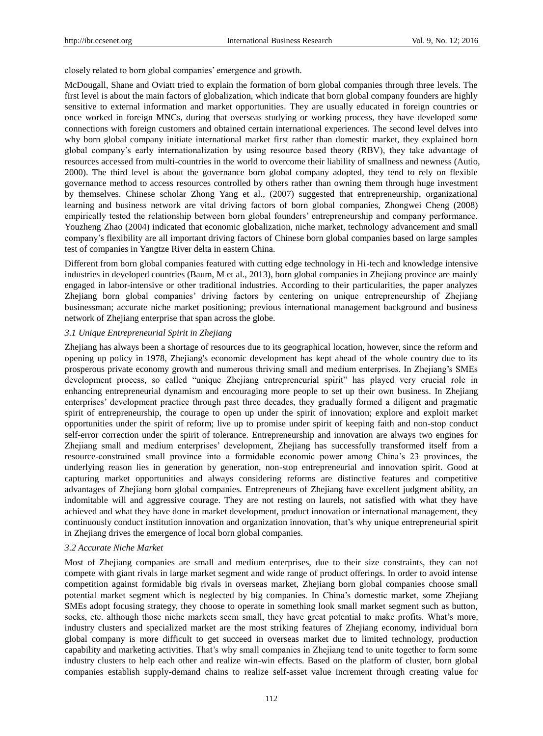closely related to born global companies' emergence and growth.

McDougall, Shane and Oviatt tried to explain the formation of born global companies through three levels. The first level is about the main factors of globalization, which indicate that born global company founders are highly sensitive to external information and market opportunities. They are usually educated in foreign countries or once worked in foreign MNCs, during that overseas studying or working process, they have developed some connections with foreign customers and obtained certain international experiences. The second level delves into why born global company initiate international market first rather than domestic market, they explained born global company's early internationalization by using resource based theory (RBV), they take advantage of resources accessed from multi-countries in the world to overcome their liability of smallness and newness (Autio, 2000). The third level is about the governance born global company adopted, they tend to rely on flexible governance method to access resources controlled by others rather than owning them through huge investment by themselves. Chinese scholar Zhong Yang et al., (2007) suggested that entrepreneurship, organizational learning and business network are vital driving factors of born global companies, Zhongwei Cheng (2008) empirically tested the relationship between born global founders' entrepreneurship and company performance. Youzheng Zhao (2004) indicated that economic globalization, niche market, technology advancement and small company's flexibility are all important driving factors of Chinese born global companies based on large samples test of companies in Yangtze River delta in eastern China.

Different from born global companies featured with cutting edge technology in Hi-tech and knowledge intensive industries in developed countries (Baum, M et al., 2013), born global companies in Zhejiang province are mainly engaged in labor-intensive or other traditional industries. According to their particularities, the paper analyzes Zhejiang born global companies' driving factors by centering on unique entrepreneurship of Zhejiang businessman; accurate niche market positioning; previous international management background and business network of Zhejiang enterprise that span across the globe.

#### *3.1 Unique Entrepreneurial Spirit in Zhejiang*

Zhejiang has always been a shortage of resources due to its geographical location, however, since the reform and opening up policy in 1978, Zhejiang's economic development has kept ahead of the whole country due to its prosperous private economy growth and numerous thriving small and medium enterprises. In Zhejiang's SMEs development process, so called "unique Zhejiang entrepreneurial spirit" has played very crucial role in enhancing entrepreneurial dynamism and encouraging more people to set up their own business. In Zhejiang enterprises' development practice through past three decades, they gradually formed a diligent and pragmatic spirit of entrepreneurship, the courage to open up under the spirit of innovation; explore and exploit market opportunities under the spirit of reform; live up to promise under spirit of keeping faith and non-stop conduct self-error correction under the spirit of tolerance. Entrepreneurship and innovation are always two engines for Zhejiang small and medium enterprises' development, Zhejiang has successfully transformed itself from a resource-constrained small province into a formidable economic power among China's 23 provinces, the underlying reason lies in generation by generation, non-stop entrepreneurial and innovation spirit. Good at capturing market opportunities and always considering reforms are distinctive features and competitive advantages of Zhejiang born global companies. Entrepreneurs of Zhejiang have excellent judgment ability, an indomitable will and aggressive courage. They are not resting on laurels, not satisfied with what they have achieved and what they have done in market development, product innovation or international management, they continuously conduct institution innovation and organization innovation, that's why unique entrepreneurial spirit in Zhejiang drives the emergence of local born global companies.

#### *3.2 Accurate Niche Market*

Most of Zhejiang companies are small and medium enterprises, due to their size constraints, they can not compete with giant rivals in large market segment and wide range of product offerings. In order to avoid intense competition against formidable big rivals in overseas market, Zhejiang born global companies choose small potential market segment which is neglected by big companies. In China's domestic market, some Zhejiang SMEs adopt focusing strategy, they choose to operate in something look small market segment such as button, socks, etc. although those niche markets seem small, they have great potential to make profits. What's more, industry clusters and specialized market are the most striking features of Zhejiang economy, individual born global company is more difficult to get succeed in overseas market due to limited technology, production capability and marketing activities. That's why small companies in Zhejiang tend to unite together to form some industry clusters to help each other and realize win-win effects. Based on the platform of cluster, born global companies establish supply-demand chains to realize self-asset value increment through creating value for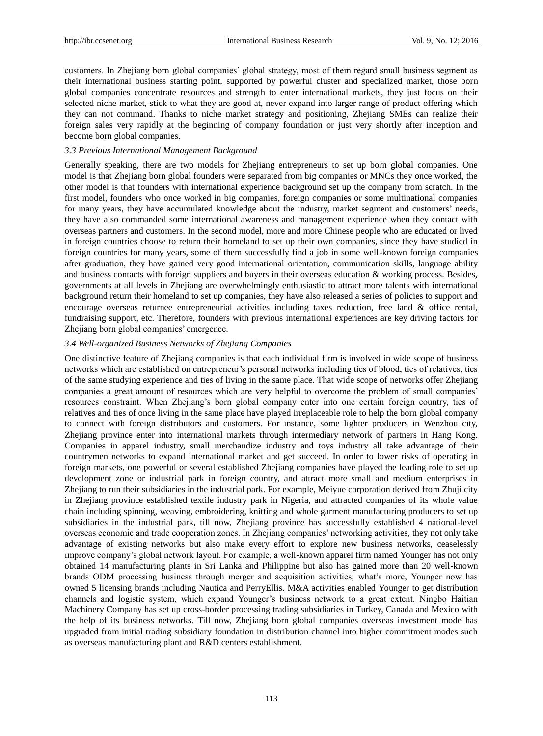customers. In Zhejiang born global companies' global strategy, most of them regard small business segment as their international business starting point, supported by powerful cluster and specialized market, those born global companies concentrate resources and strength to enter international markets, they just focus on their selected niche market, stick to what they are good at, never expand into larger range of product offering which they can not command. Thanks to niche market strategy and positioning, Zhejiang SMEs can realize their foreign sales very rapidly at the beginning of company foundation or just very shortly after inception and become born global companies.

## *3.3 Previous International Management Background*

Generally speaking, there are two models for Zhejiang entrepreneurs to set up born global companies. One model is that Zhejiang born global founders were separated from big companies or MNCs they once worked, the other model is that founders with international experience background set up the company from scratch. In the first model, founders who once worked in big companies, foreign companies or some multinational companies for many years, they have accumulated knowledge about the industry, market segment and customers' needs, they have also commanded some international awareness and management experience when they contact with overseas partners and customers. In the second model, more and more Chinese people who are educated or lived in foreign countries choose to return their homeland to set up their own companies, since they have studied in foreign countries for many years, some of them successfully find a job in some well-known foreign companies after graduation, they have gained very good international orientation, communication skills, language ability and business contacts with foreign suppliers and buyers in their overseas education & working process. Besides, governments at all levels in Zhejiang are overwhelmingly enthusiastic to attract more talents with international background return their homeland to set up companies, they have also released a series of policies to support and encourage overseas returnee entrepreneurial activities including taxes reduction, free land & office rental, fundraising support, etc. Therefore, founders with previous international experiences are key driving factors for Zhejiang born global companies' emergence.

## *3.4 Well-organized Business Networks of Zhejiang Companies*

One distinctive feature of Zhejiang companies is that each individual firm is involved in wide scope of business networks which are established on entrepreneur's personal networks including ties of blood, ties of relatives, ties of the same studying experience and ties of living in the same place. That wide scope of networks offer Zhejiang companies a great amount of resources which are very helpful to overcome the problem of small companies' resources constraint. When Zhejiang's born global company enter into one certain foreign country, ties of relatives and ties of once living in the same place have played irreplaceable role to help the born global company to connect with foreign distributors and customers. For instance, some lighter producers in Wenzhou city, Zhejiang province enter into international markets through intermediary network of partners in Hang Kong. Companies in apparel industry, small merchandize industry and toys industry all take advantage of their countrymen networks to expand international market and get succeed. In order to lower risks of operating in foreign markets, one powerful or several established Zhejiang companies have played the leading role to set up development zone or industrial park in foreign country, and attract more small and medium enterprises in Zhejiang to run their subsidiaries in the industrial park. For example, Meiyue corporation derived from Zhuji city in Zhejiang province established textile industry park in Nigeria, and attracted companies of its whole value chain including spinning, weaving, embroidering, knitting and whole garment manufacturing producers to set up subsidiaries in the industrial park, till now, Zhejiang province has successfully established 4 national-level overseas economic and trade cooperation zones. In Zhejiang companies' networking activities, they not only take advantage of existing networks but also make every effort to explore new business networks, ceaselessly improve company's global network layout. For example, a well-known apparel firm named Younger has not only obtained 14 manufacturing plants in Sri Lanka and Philippine but also has gained more than 20 well-known brands ODM processing business through merger and acquisition activities, what's more, Younger now has owned 5 licensing brands including Nautica and PerryEllis. M&A activities enabled Younger to get distribution channels and logistic system, which expand Younger's business network to a great extent. Ningbo Haitian Machinery Company has set up cross-border processing trading subsidiaries in Turkey, Canada and Mexico with the help of its business networks. Till now, Zhejiang born global companies overseas investment mode has upgraded from initial trading subsidiary foundation in distribution channel into higher commitment modes such as overseas manufacturing plant and R&D centers establishment.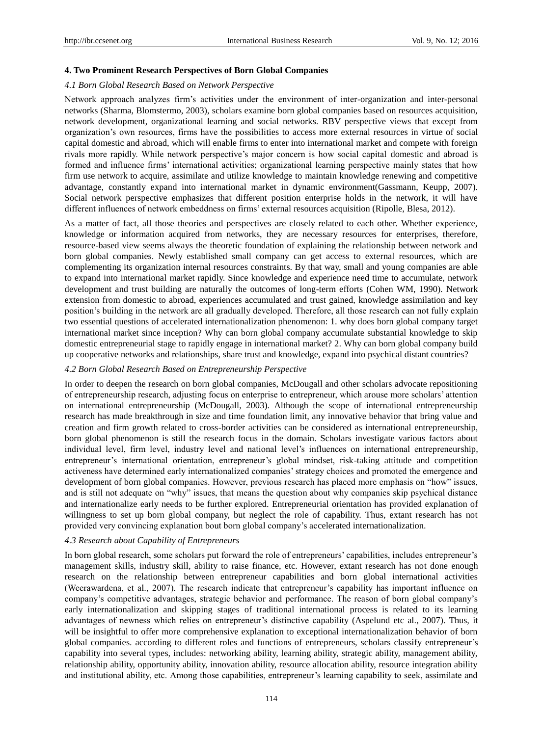# **4. Two Prominent Research Perspectives of Born Global Companies**

# *4.1 Born Global Research Based on Network Perspective*

Network approach analyzes firm's activities under the environment of inter-organization and inter-personal networks (Sharma, Blomstermo, 2003), scholars examine born global companies based on resources acquisition, network development, organizational learning and social networks. RBV perspective views that except from organization's own resources, firms have the possibilities to access more external resources in virtue of social capital domestic and abroad, which will enable firms to enter into international market and compete with foreign rivals more rapidly. While network perspective's major concern is how social capital domestic and abroad is formed and influence firms' international activities; organizational learning perspective mainly states that how firm use network to acquire, assimilate and utilize knowledge to maintain knowledge renewing and competitive advantage, constantly expand into international market in dynamic environment(Gassmann, Keupp, 2007). Social network perspective emphasizes that different position enterprise holds in the network, it will have different influences of network embeddness on firms' external resources acquisition (Ripolle, Blesa, 2012).

As a matter of fact, all those theories and perspectives are closely related to each other. Whether experience, knowledge or information acquired from networks, they are necessary resources for enterprises, therefore, resource-based view seems always the theoretic foundation of explaining the relationship between network and born global companies. Newly established small company can get access to external resources, which are complementing its organization internal resources constraints. By that way, small and young companies are able to expand into international market rapidly. Since knowledge and experience need time to accumulate, network development and trust building are naturally the outcomes of long-term efforts (Cohen WM, 1990). Network extension from domestic to abroad, experiences accumulated and trust gained, knowledge assimilation and key position's building in the network are all gradually developed. Therefore, all those research can not fully explain two essential questions of accelerated internationalization phenomenon: 1. why does born global company target international market since inception? Why can born global company accumulate substantial knowledge to skip domestic entrepreneurial stage to rapidly engage in international market? 2. Why can born global company build up cooperative networks and relationships, share trust and knowledge, expand into psychical distant countries?

## *4.2 Born Global Research Based on Entrepreneurship Perspective*

In order to deepen the research on born global companies, McDougall and other scholars advocate repositioning of entrepreneurship research, adjusting focus on enterprise to entrepreneur, which arouse more scholars' attention on international entrepreneurship (McDougall, 2003). Although the scope of international entrepreneurship research has made breakthrough in size and time foundation limit, any innovative behavior that bring value and creation and firm growth related to cross-border activities can be considered as international entrepreneurship, born global phenomenon is still the research focus in the domain. Scholars investigate various factors about individual level, firm level, industry level and national level's influences on international entrepreneurship, entrepreneur's international orientation, entrepreneur's global mindset, risk-taking attitude and competition activeness have determined early internationalized companies' strategy choices and promoted the emergence and development of born global companies. However, previous research has placed more emphasis on "how" issues, and is still not adequate on "why" issues, that means the question about why companies skip psychical distance and internationalize early needs to be further explored. Entrepreneurial orientation has provided explanation of willingness to set up born global company, but neglect the role of capability. Thus, extant research has not provided very convincing explanation bout born global company's accelerated internationalization.

## *4.3 Research about Capability of Entrepreneurs*

In born global research, some scholars put forward the role of entrepreneurs' capabilities, includes entrepreneur's management skills, industry skill, ability to raise finance, etc. However, extant research has not done enough research on the relationship between entrepreneur capabilities and born global international activities (Weerawardena, et al., 2007). The research indicate that entrepreneur's capability has important influence on company's competitive advantages, strategic behavior and performance. The reason of born global company's early internationalization and skipping stages of traditional international process is related to its learning advantages of newness which relies on entrepreneur's distinctive capability (Aspelund etc al., 2007). Thus, it will be insightful to offer more comprehensive explanation to exceptional internationalization behavior of born global companies. according to different roles and functions of entrepreneurs, scholars classify entrepreneur's capability into several types, includes: networking ability, learning ability, strategic ability, management ability, relationship ability, opportunity ability, innovation ability, resource allocation ability, resource integration ability and institutional ability, etc. Among those capabilities, entrepreneur's learning capability to seek, assimilate and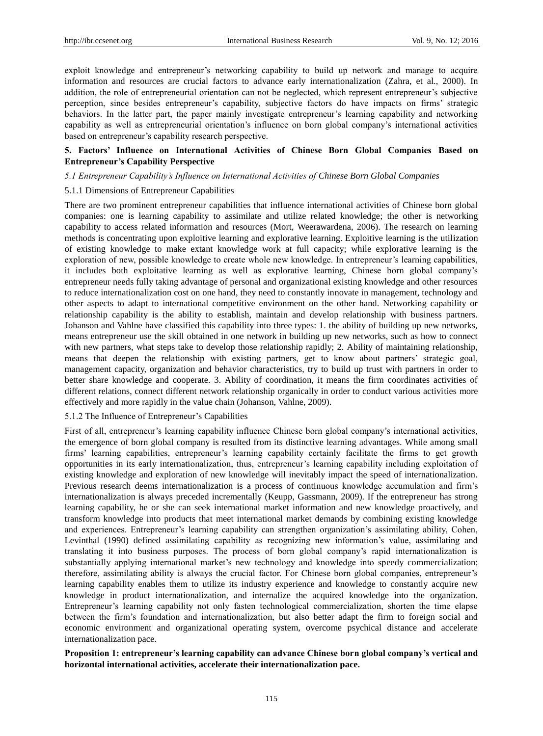exploit knowledge and entrepreneur's networking capability to build up network and manage to acquire information and resources are crucial factors to advance early internationalization (Zahra, et al., 2000). In addition, the role of entrepreneurial orientation can not be neglected, which represent entrepreneur's subjective perception, since besides entrepreneur's capability, subjective factors do have impacts on firms' strategic behaviors. In the latter part, the paper mainly investigate entrepreneur's learning capability and networking capability as well as entrepreneurial orientation's influence on born global company's international activities based on entrepreneur's capability research perspective.

# **5. Factors' Influence on International Activities of Chinese Born Global Companies Based on Entrepreneur's Capability Perspective**

## *5.1 Entrepreneur Capability's Influence on International Activities of Chinese Born Global Companies*

## 5.1.1 Dimensions of Entrepreneur Capabilities

There are two prominent entrepreneur capabilities that influence international activities of Chinese born global companies: one is learning capability to assimilate and utilize related knowledge; the other is networking capability to access related information and resources (Mort, Weerawardena, 2006). The research on learning methods is concentrating upon exploitive learning and explorative learning. Exploitive learning is the utilization of existing knowledge to make extant knowledge work at full capacity; while explorative learning is the exploration of new, possible knowledge to create whole new knowledge. In entrepreneur's learning capabilities, it includes both exploitative learning as well as explorative learning, Chinese born global company's entrepreneur needs fully taking advantage of personal and organizational existing knowledge and other resources to reduce internationalization cost on one hand, they need to constantly innovate in management, technology and other aspects to adapt to international competitive environment on the other hand. Networking capability or relationship capability is the ability to establish, maintain and develop relationship with business partners. Johanson and Vahlne have classified this capability into three types: 1. the ability of building up new networks, means entrepreneur use the skill obtained in one network in building up new networks, such as how to connect with new partners, what steps take to develop those relationship rapidly; 2. Ability of maintaining relationship, means that deepen the relationship with existing partners, get to know about partners' strategic goal, management capacity, organization and behavior characteristics, try to build up trust with partners in order to better share knowledge and cooperate. 3. Ability of coordination, it means the firm coordinates activities of different relations, connect different network relationship organically in order to conduct various activities more effectively and more rapidly in the value chain (Johanson, Vahlne, 2009).

### 5.1.2 The Influence of Entrepreneur's Capabilities

First of all, entrepreneur's learning capability influence Chinese born global company's international activities, the emergence of born global company is resulted from its distinctive learning advantages. While among small firms' learning capabilities, entrepreneur's learning capability certainly facilitate the firms to get growth opportunities in its early internationalization, thus, entrepreneur's learning capability including exploitation of existing knowledge and exploration of new knowledge will inevitably impact the speed of internationalization. Previous research deems internationalization is a process of continuous knowledge accumulation and firm's internationalization is always preceded incrementally (Keupp, Gassmann, 2009). If the entrepreneur has strong learning capability, he or she can seek international market information and new knowledge proactively, and transform knowledge into products that meet international market demands by combining existing knowledge and experiences. Entrepreneur's learning capability can strengthen organization's assimilating ability, Cohen, Levinthal (1990) defined assimilating capability as recognizing new information's value, assimilating and translating it into business purposes. The process of born global company's rapid internationalization is substantially applying international market's new technology and knowledge into speedy commercialization; therefore, assimilating ability is always the crucial factor. For Chinese born global companies, entrepreneur's learning capability enables them to utilize its industry experience and knowledge to constantly acquire new knowledge in product internationalization, and internalize the acquired knowledge into the organization. Entrepreneur's learning capability not only fasten technological commercialization, shorten the time elapse between the firm's foundation and internationalization, but also better adapt the firm to foreign social and economic environment and organizational operating system, overcome psychical distance and accelerate internationalization pace.

## **Proposition 1: entrepreneur's learning capability can advance Chinese born global company's vertical and horizontal international activities, accelerate their internationalization pace.**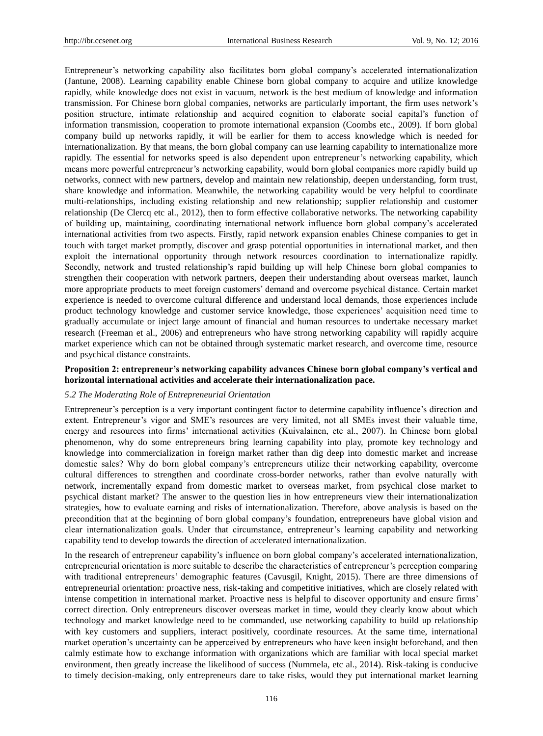Entrepreneur's networking capability also facilitates born global company's accelerated internationalization (Jantune, 2008). Learning capability enable Chinese born global company to acquire and utilize knowledge rapidly, while knowledge does not exist in vacuum, network is the best medium of knowledge and information transmission. For Chinese born global companies, networks are particularly important, the firm uses network's position structure, intimate relationship and acquired cognition to elaborate social capital's function of information transmission, cooperation to promote international expansion (Coombs etc., 2009). If born global company build up networks rapidly, it will be earlier for them to access knowledge which is needed for internationalization. By that means, the born global company can use learning capability to internationalize more rapidly. The essential for networks speed is also dependent upon entrepreneur's networking capability, which means more powerful entrepreneur's networking capability, would born global companies more rapidly build up networks, connect with new partners, develop and maintain new relationship, deepen understanding, form trust, share knowledge and information. Meanwhile, the networking capability would be very helpful to coordinate multi-relationships, including existing relationship and new relationship; supplier relationship and customer relationship (De Clercq etc al., 2012), then to form effective collaborative networks. The networking capability of building up, maintaining, coordinating international network influence born global company's accelerated international activities from two aspects. Firstly, rapid network expansion enables Chinese companies to get in touch with target market promptly, discover and grasp potential opportunities in international market, and then exploit the international opportunity through network resources coordination to internationalize rapidly. Secondly, network and trusted relationship's rapid building up will help Chinese born global companies to strengthen their cooperation with network partners, deepen their understanding about overseas market, launch more appropriate products to meet foreign customers' demand and overcome psychical distance. Certain market experience is needed to overcome cultural difference and understand local demands, those experiences include product technology knowledge and customer service knowledge, those experiences' acquisition need time to gradually accumulate or inject large amount of financial and human resources to undertake necessary market research (Freeman et al., 2006) and entrepreneurs who have strong networking capability will rapidly acquire market experience which can not be obtained through systematic market research, and overcome time, resource and psychical distance constraints.

## **Proposition 2: entrepreneur's networking capability advances Chinese born global company's vertical and horizontal international activities and accelerate their internationalization pace.**

#### *5.2 The Moderating Role of Entrepreneurial Orientation*

Entrepreneur's perception is a very important contingent factor to determine capability influence's direction and extent. Entrepreneur's vigor and SME's resources are very limited, not all SMEs invest their valuable time, energy and resources into firms' international activities (Kuivalainen, etc al., 2007). In Chinese born global phenomenon, why do some entrepreneurs bring learning capability into play, promote key technology and knowledge into commercialization in foreign market rather than dig deep into domestic market and increase domestic sales? Why do born global company's entrepreneurs utilize their networking capability, overcome cultural differences to strengthen and coordinate cross-border networks, rather than evolve naturally with network, incrementally expand from domestic market to overseas market, from psychical close market to psychical distant market? The answer to the question lies in how entrepreneurs view their internationalization strategies, how to evaluate earning and risks of internationalization. Therefore, above analysis is based on the precondition that at the beginning of born global company's foundation, entrepreneurs have global vision and clear internationalization goals. Under that circumstance, entrepreneur's learning capability and networking capability tend to develop towards the direction of accelerated internationalization.

In the research of entrepreneur capability's influence on born global company's accelerated internationalization, entrepreneurial orientation is more suitable to describe the characteristics of entrepreneur's perception comparing with traditional entrepreneurs' demographic features (Cavusgil, Knight, 2015). There are three dimensions of entrepreneurial orientation: proactive ness, risk-taking and competitive initiatives, which are closely related with intense competition in international market. Proactive ness is helpful to discover opportunity and ensure firms' correct direction. Only entrepreneurs discover overseas market in time, would they clearly know about which technology and market knowledge need to be commanded, use networking capability to build up relationship with key customers and suppliers, interact positively, coordinate resources. At the same time, international market operation's uncertainty can be apperceived by entrepreneurs who have keen insight beforehand, and then calmly estimate how to exchange information with organizations which are familiar with local special market environment, then greatly increase the likelihood of success (Nummela, etc al., 2014). Risk-taking is conducive to timely decision-making, only entrepreneurs dare to take risks, would they put international market learning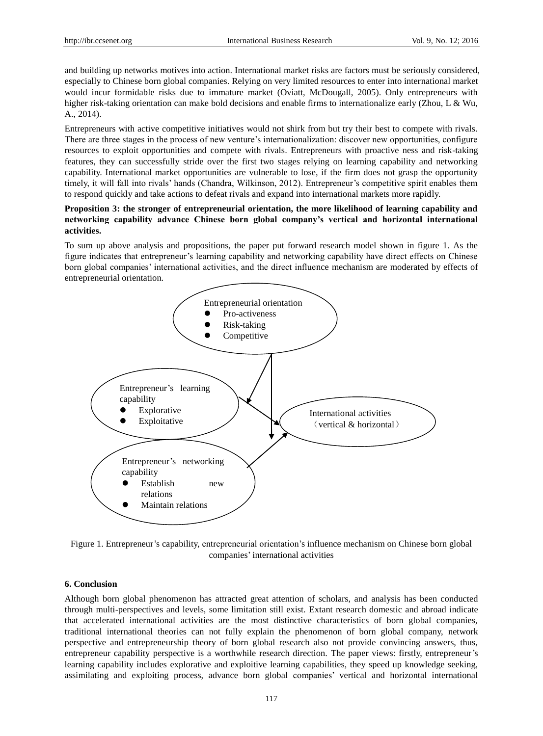and building up networks motives into action. International market risks are factors must be seriously considered, especially to Chinese born global companies. Relying on very limited resources to enter into international market would incur formidable risks due to immature market (Oviatt, McDougall, 2005). Only entrepreneurs with higher risk-taking orientation can make bold decisions and enable firms to internationalize early (Zhou, L & Wu, A., 2014).

Entrepreneurs with active competitive initiatives would not shirk from but try their best to compete with rivals. There are three stages in the process of new venture's internationalization: discover new opportunities, configure resources to exploit opportunities and compete with rivals. Entrepreneurs with proactive ness and risk-taking features, they can successfully stride over the first two stages relying on learning capability and networking capability. International market opportunities are vulnerable to lose, if the firm does not grasp the opportunity timely, it will fall into rivals' hands (Chandra, Wilkinson, 2012). Entrepreneur's competitive spirit enables them to respond quickly and take actions to defeat rivals and expand into international markets more rapidly.

# **Proposition 3: the stronger of entrepreneurial orientation, the more likelihood of learning capability and networking capability advance Chinese born global company's vertical and horizontal international activities.**

To sum up above analysis and propositions, the paper put forward research model shown in figure 1. As the figure indicates that entrepreneur's learning capability and networking capability have direct effects on Chinese born global companies' international activities, and the direct influence mechanism are moderated by effects of entrepreneurial orientation.



Figure 1. Entrepreneur's capability, entrepreneurial orientation's influence mechanism on Chinese born global companies' international activities

# **6. Conclusion**

Although born global phenomenon has attracted great attention of scholars, and analysis has been conducted through multi-perspectives and levels, some limitation still exist. Extant research domestic and abroad indicate that accelerated international activities are the most distinctive characteristics of born global companies, traditional international theories can not fully explain the phenomenon of born global company, network perspective and entrepreneurship theory of born global research also not provide convincing answers, thus, entrepreneur capability perspective is a worthwhile research direction. The paper views: firstly, entrepreneur's learning capability includes explorative and exploitive learning capabilities, they speed up knowledge seeking, assimilating and exploiting process, advance born global companies' vertical and horizontal international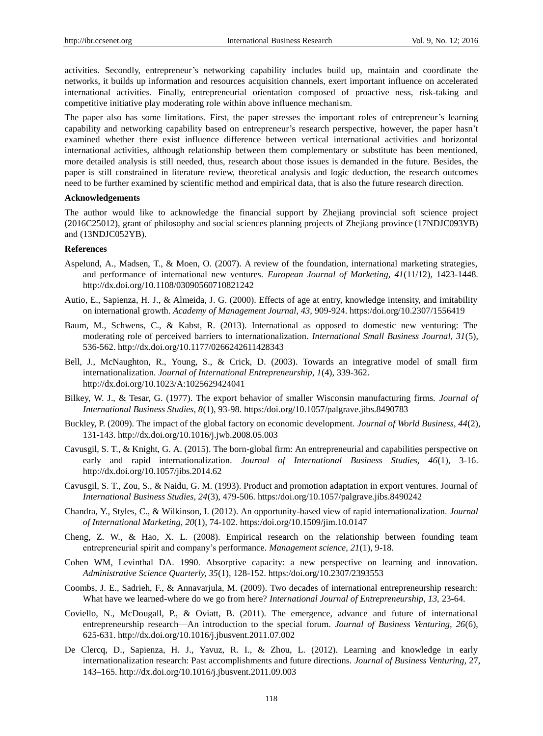activities. Secondly, entrepreneur's networking capability includes build up, maintain and coordinate the networks, it builds up information and resources acquisition channels, exert important influence on accelerated international activities. Finally, entrepreneurial orientation composed of proactive ness, risk-taking and competitive initiative play moderating role within above influence mechanism.

The paper also has some limitations. First, the paper stresses the important roles of entrepreneur's learning capability and networking capability based on entrepreneur's research perspective, however, the paper hasn't examined whether there exist influence difference between vertical international activities and horizontal international activities, although relationship between them complementary or substitute has been mentioned, more detailed analysis is still needed, thus, research about those issues is demanded in the future. Besides, the paper is still constrained in literature review, theoretical analysis and logic deduction, the research outcomes need to be further examined by scientific method and empirical data, that is also the future research direction.

## **Acknowledgements**

The author would like to acknowledge the financial support by Zhejiang provincial soft science project (2016C25012), grant of philosophy and social sciences planning projects of Zhejiang province (17NDJC093YB) and (13NDJC052YB).

#### **References**

- Aspelund, A., Madsen, T., & Moen, O. (2007). A review of the foundation, international marketing strategies, and performance of international new ventures. *European Journal of Marketing, 41*(11/12)*,* 1423-1448. <http://dx.doi.org/10.1108/03090560710821242>
- Autio, E., Sapienza, H. J., & Almeida, J. G. (2000). Effects of age at entry, knowledge intensity, and imitability on international growth. *Academy of Management Journal, 43,* 909-924. [https:/doi.org/10.2307/1556419](https://doi.org/10.2307/1556419)
- Baum, M., Schwens, C., & Kabst, R. (2013). International as opposed to domestic new venturing: The moderating role of perceived barriers to internationalization. *International Small Business Journal, 31*(5), 536-562. http://dx.doi.org/10.1177/0266242611428343
- Bell, J., McNaughton, R., Young, S., & Crick, D. (2003). Towards an integrative model of small firm internationalization. *Journal of International Entrepreneurship, 1*(4), 339-362. http://dx.doi.org/10.1023/A:1025629424041
- Bilkey, W. J., & Tesar, G. (1977). The export behavior of smaller Wisconsin manufacturing firms. *Journal of International Business Studies, 8*(1), 93-98. [https:/doi.org/10.1057/palgrave.jibs.8490783](https://doi.org/10.1057/palgrave.jibs.8490783)
- Buckley, P. (2009). The impact of the global factory on economic development. *Journal of World Business, 44*(2), 131-143.<http://dx.doi.org/10.1016/j.jwb.2008.05.003>
- Cavusgil, S. T., & Knight, G. A. (2015). The born-global firm: An entrepreneurial and capabilities perspective on early and rapid internationalization. *Journal of International Business Studies, 46*(1), 3-16. http://dx.doi.org/10.1057/jibs.2014.62
- Cavusgil, S. T., Zou, S., & Naidu, G. M. (1993). Product and promotion adaptation in export ventures. Journal of *International Business Studies, 24*(3), 479-506. [https:/doi.org/10.1057/palgrave.jibs.8490242](https://doi.org/10.1057/palgrave.jibs.8490242)
- Chandra, Y., Styles, C., & Wilkinson, I. (2012). An opportunity-based view of rapid internationalization. *Journal of International Marketing, 20*(1), 74-102. [https:/doi.org/10.1509/jim.10.0147](https://doi.org/10.1509/jim.10.0147)
- Cheng, Z. W., & Hao, X. L. (2008). Empirical research on the relationship between founding team entrepreneurial spirit and company's performance. *Management science, 21*(1), 9-18.
- Cohen WM, Levinthal DA. 1990. Absorptive capacity: a new perspective on learning and innovation. *Administrative Science Quarterly, 35*(1)*,* 128-152. [https:/doi.org/10.2307/2393553](https://doi.org/10.2307/2393553)
- Coombs, J. E., Sadrieh, F., & Annavarjula, M. (2009). Two decades of international entrepreneurship research: What have we learned-where do we go from here? *International Journal of Entrepreneurship, 13,* 23-64.
- Coviello, N., McDougall, P., & Oviatt, B. (2011). The emergence, advance and future of international entrepreneurship research—An introduction to the special forum. *Journal of Business Venturing, 26*(6), 625-631.<http://dx.doi.org/10.1016/j.jbusvent.2011.07.002>
- De Clercq, D., Sapienza, H. J., Yavuz, R. I., & Zhou, L. (2012). Learning and knowledge in early internationalization research: Past accomplishments and future directions. *Journal of Business Venturing,* 27, 143–165.<http://dx.doi.org/10.1016/j.jbusvent.2011.09.003>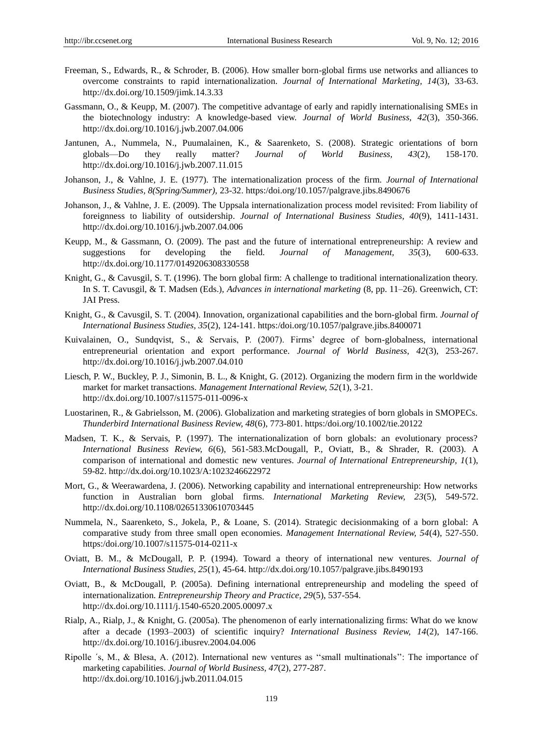- Freeman, S., Edwards, R., & Schroder, B. (2006). How smaller born-global firms use networks and alliances to overcome constraints to rapid internationalization. *Journal of International Marketing, 14*(3), 33-63. <http://dx.doi.org/10.1509/jimk.14.3.33>
- Gassmann, O., & Keupp, M. (2007). The competitive advantage of early and rapidly internationalising SMEs in the biotechnology industry: A knowledge-based view. *Journal of World Business, 42*(3), 350-366. <http://dx.doi.org/10.1016/j.jwb.2007.04.006>
- Jantunen, A., Nummela, N., Puumalainen, K., & Saarenketo, S. (2008). Strategic orientations of born globals—Do they really matter? *Journal of World Business, 43*(2), 158-170. <http://dx.doi.org/10.1016/j.jwb.2007.11.015>
- Johanson, J., & Vahlne, J. E. (1977). The internationalization process of the firm. *Journal of International Business Studies, 8(Spring/Summer),* 23-32. [https:/doi.org/10.1057/palgrave.jibs.8490676](https://doi.org/10.1057/palgrave.jibs.8490676)
- Johanson, J., & Vahlne, J. E. (2009). The Uppsala internationalization process model revisited: From liability of foreignness to liability of outsidership. *Journal of International Business Studies, 40*(9), 1411-1431. <http://dx.doi.org/10.1016/j.jwb.2007.04.006>
- Keupp, M., & Gassmann, O. (2009). The past and the future of international entrepreneurship: A review and suggestions for developing the field. *Journal of Management, 35*(3), 600-633. <http://dx.doi.org/10.1177/0149206308330558>
- Knight, G., & Cavusgil, S. T. (1996). The born global firm: A challenge to traditional internationalization theory. In S. T. Cavusgil, & T. Madsen (Eds.), *Advances in international marketing* (8, pp. 11–26). Greenwich, CT: JAI Press.
- Knight, G., & Cavusgil, S. T. (2004). Innovation, organizational capabilities and the born-global firm. *Journal of International Business Studies, 35*(2), 124-141. [https:/doi.org/10.1057/palgrave.jibs.8400071](https://doi.org/10.1057/palgrave.jibs.8400071)
- Kuivalainen, O., Sundqvist, S., & Servais, P. (2007). Firms' degree of born-globalness, international entrepreneurial orientation and export performance. *Journal of World Business, 42*(3), 253-267. <http://dx.doi.org/10.1016/j.jwb.2007.04.010>
- Liesch, P. W., Buckley, P. J., Simonin, B. L., & Knight, G. (2012). Organizing the modern firm in the worldwide market for market transactions. *Management International Review, 52*(1), 3-21. http://dx.doi.org/10.1007/s11575-011-0096-x
- Luostarinen, R., & Gabrielsson, M. (2006). Globalization and marketing strategies of born globals in SMOPECs. *Thunderbird International Business Review, 48*(6), 773-801. [https:/doi.org/10.1002/tie.20122](https://doi.org/10.1002/tie.20122)
- Madsen, T. K., & Servais, P. (1997). The internationalization of born globals: an evolutionary process? *International Business Review, 6*(6), 561-583.McDougall, P., Oviatt, B., & Shrader, R. (2003). A comparison of international and domestic new ventures. *Journal of International Entrepreneurship, 1*(1), 59-82. http://dx.doi.org/10.1023/A:1023246622972
- Mort, G., & Weerawardena, J. (2006). Networking capability and international entrepreneurship: How networks function in Australian born global firms. *International Marketing Review, 23*(5), 549-572. <http://dx.doi.org/10.1108/02651330610703445>
- Nummela, N., Saarenketo, S., Jokela, P., & Loane, S. (2014). Strategic decisionmaking of a born global: A comparative study from three small open economies. *Management International Review, 54*(4), 527-550. [https:/doi.org/10.1007/s11575-014-0211-x](https://doi.org/10.1007/s11575-014-0211-x)
- Oviatt, B. M., & McDougall, P. P. (1994). Toward a theory of international new ventures. *Journal of International Business Studies, 25*(1), 45-64. http://dx.doi.org/10.1057/palgrave.jibs.8490193
- Oviatt, B., & McDougall, P. (2005a). Defining international entrepreneurship and modeling the speed of internationalization. *Entrepreneurship Theory and Practice, 29*(5), 537-554. <http://dx.doi.org/10.1111/j.1540-6520.2005.00097.x>
- Rialp, A., Rialp, J., & Knight, G. (2005a). The phenomenon of early internationalizing firms: What do we know after a decade (1993–2003) of scientific inquiry? *International Business Review, 14*(2), 147-166. <http://dx.doi.org/10.1016/j.ibusrev.2004.04.006>
- Ripolle  $\zeta$ , M., & Blesa, A. (2012). International new ventures as "small multinationals": The importance of marketing capabilities. *Journal of World Business, 47*(2), 277-287. <http://dx.doi.org/10.1016/j.jwb.2011.04.015>